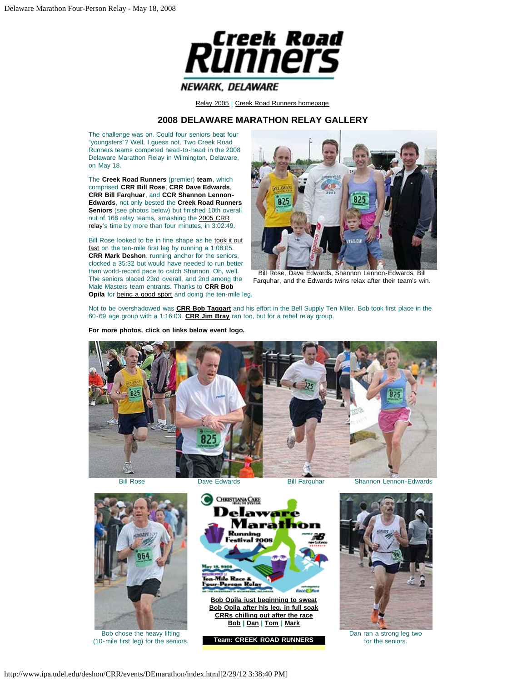

[Relay 2005](#page-2-0) | [Creek Road Runners homepage](http://creekroadrunners.org/)

## **2008 DELAWARE MARATHON RELAY GALLERY**

<span id="page-0-0"></span>The challenge was on. Could four seniors beat four "youngsters"? Well, I guess not. Two Creek Road Runners teams competed head-to-head in the 2008 Delaware Marathon Relay in Wilmington, Delaware, on May 18.

The **Creek Road Runners** (premier) **team**, which comprised **CRR Bill Rose**, **CRR Dave Edwards**, **CRR Bill Farqhuar**, and **CCR Shannon Lennon-Edwards**, not only bested the **Creek Road Runners Seniors** (see photos below) but finished 10th overall out of 168 relay teams, smashing the [2005 CRR](#page-2-0) [relay'](#page-2-0)s time by more than four minutes, in 3:02:49.

Bill Rose looked to be in fine shape as he [took it out](#page-0-0) [fast](#page-0-0) on the ten-mile first leg by running a 1:08:05. **CRR Mark Deshon**, running anchor for the seniors, clocked a 35:32 but would have needed to run better than world-record pace to catch Shannon. Oh, well. The seniors placed 23rd overall, and 2nd among the Male Masters team entrants. Thanks to **CRR Bob Opila** for **being a good sport** and doing the ten-mile leg.



Bill Rose, Dave Edwards, Shannon Lennon-Edwards, Bill Farquhar, and the Edwards twins relax after their team's win.

Not to be overshadowed was **[CRR Bob Taggart](#page-0-0)** and his effort in the Bell Supply Ten Miler. Bob took first place in the 60-69 age group with a 1:16:03. **[CRR Jim Bray](#page-0-0)** ran too, but for a rebel relay group.

**For more photos, click on links below event logo.**



Bill Rose Dave Edwards Bill Farquhar Shannon Lennon-Edwards



Bob chose the heavy lifting (10-mile first leg) for the seniors.



**[Bob Opila just beginning to sweat](#page-0-0) [Bob Opila after his leg, in full soak](#page-0-0) [CRRs chilling out after the race](#page-0-0) [Bob](#page-0-0) | [Dan](#page-0-0) | [Tom](#page-0-0) | [Mark](#page-0-0)**





Dan ran a strong leg two for the seniors.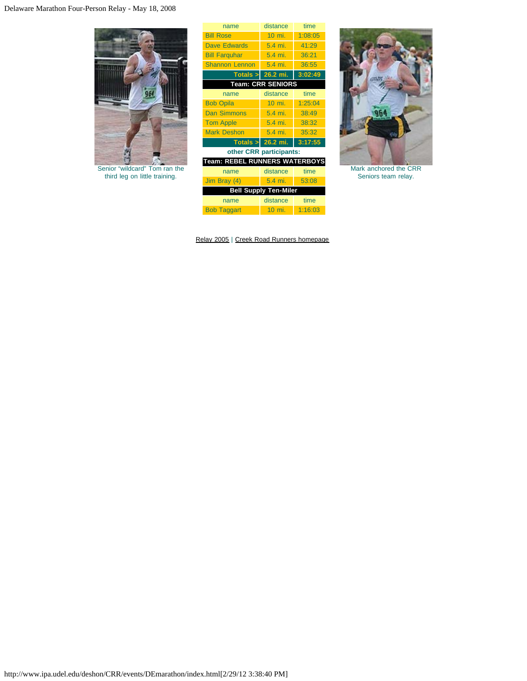

Senior "wildcard" Tom ran the third leg on little training.

| name                                 | distance            | time    |  |  |
|--------------------------------------|---------------------|---------|--|--|
| <b>Bill Rose</b>                     | 10 mi.              | 1:08:05 |  |  |
| <b>Dave Edwards</b>                  | 5.4 mi.             | 41:29   |  |  |
| <b>Bill Farquhar</b>                 | 5.4 mi.             | 36:21   |  |  |
| <b>Shannon Lennon</b>                | 5.4 mi.             | 36:55   |  |  |
|                                      | Totals $>$ 26.2 mi. | 3:02:49 |  |  |
| <b>Team: CRR SENIORS</b>             |                     |         |  |  |
| name                                 | distance            | time    |  |  |
| <b>Bob Opila</b>                     | 10 mi.              | 1:25:04 |  |  |
| <b>Dan Simmons</b>                   | 5.4 mi.             | 38:49   |  |  |
| <b>Tom Apple</b>                     | 5.4 mi.             | 38:32   |  |  |
| <b>Mark Deshon</b>                   | 5.4 mi.             | 35:32   |  |  |
|                                      | Totals $>$ 26.2 mi. | 3:17:55 |  |  |
| other CRR participants:              |                     |         |  |  |
| <b>Team: REBEL RUNNERS WATERBOYS</b> |                     |         |  |  |
| name                                 | distance            | time    |  |  |
| Jim Bray (4)                         | 5.4 mi.             | 53:08   |  |  |
| <b>Bell Supply Ten-Miler</b>         |                     |         |  |  |
| name                                 | distance            | time    |  |  |
| <b>Bob Taggart</b>                   | $10 \text{ mi.}$    | 1:16:03 |  |  |

[Relay 2005](#page-2-0) | [Creek Road Runners homepage](http://creekroadrunners.org/)



Mark anchored the CRR Seniors team relay.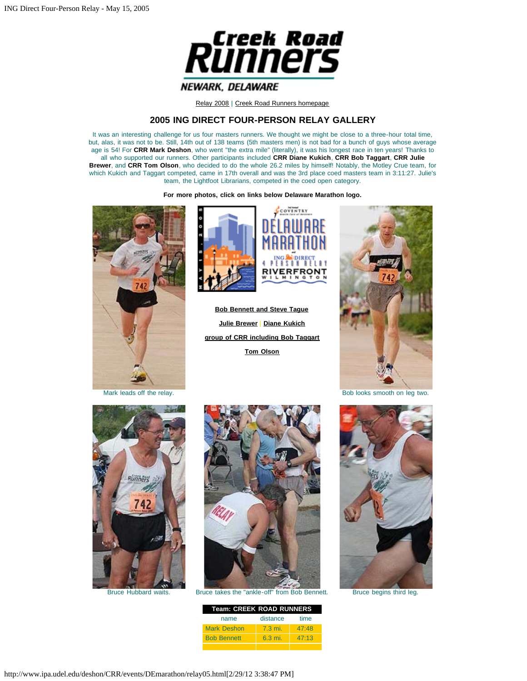

[Relay 2008](#page-0-0) | [Creek Road Runners homepage](http://creekroadrunners.org/)

## **2005 ING DIRECT FOUR-PERSON RELAY GALLERY**

<span id="page-2-0"></span>It was an interesting challenge for us four masters runners. We thought we might be close to a three-hour total time, but, alas, it was not to be. Still, 14th out of 138 teams (5th masters men) is not bad for a bunch of guys whose average age is 54! For **CRR Mark Deshon**, who went "the extra mile" (literally), it was his longest race in ten years! Thanks to all who supported our runners. Other participants included **CRR Diane Kukich**, **CRR Bob Taggart**, **CRR Julie Brewer**, and **CRR Tom Olson**, who decided to do the whole 26.2 miles by himself! Notably, the Motley Crue team, for which Kukich and Taggart competed, came in 17th overall and was the 3rd place coed masters team in 3:11:27. Julie's team, the Lightfoot Librarians, competed in the coed open category.

**For more photos, click on links below Delaware Marathon logo.**





**[Bob Bennett and Steve Tague](#page-2-0) [Julie Brewer](#page-2-0)** | **[Diane Kukich](#page-2-0) [group of CRR including Bob Taggart](#page-2-0) [Tom Olson](#page-2-0)**



Mark leads off the relay. The relay is a structure of the relay in the relay is a structure of the relay.





Bruce Hubbard waits. Bruce takes the "ankle-off" from Bob Bennett. Bruce begins third leg.

| Team: CREEK ROAD RUNNERS |                  |       |  |  |
|--------------------------|------------------|-------|--|--|
| name                     | distance         | time  |  |  |
| <b>Mark Deshon</b>       | $7.3 \text{ mi}$ | 47.48 |  |  |

Bob Bennett 6.3 mi. 47:13